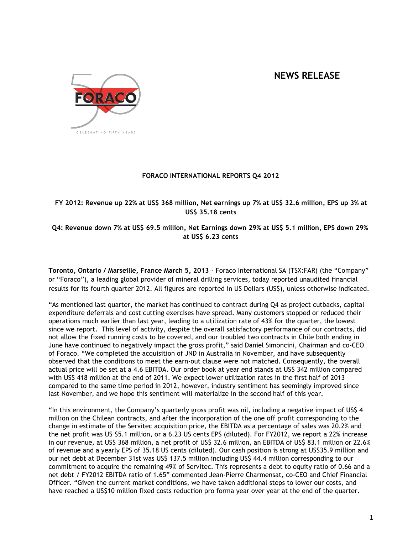# **NEWS RELEASE**



## **FORACO INTERNATIONAL REPORTS Q4 2012**

# **FY 2012: Revenue up 22% at US\$ 368 million, Net earnings up 7% at US\$ 32.6 million, EPS up 3% at US\$ 35.18 cents**

# **Q4: Revenue down 7% at US\$ 69.5 million, Net Earnings down 29% at US\$ 5.1 million, EPS down 29% at US\$ 6.23 cents**

**Toronto, Ontario / Marseille, France March 5, 2013** - Foraco International SA (TSX:FAR) (the "Company" or "Foraco"), a leading global provider of mineral drilling services, today reported unaudited financial results for its fourth quarter 2012. All figures are reported in US Dollars (US\$), unless otherwise indicated.

"As mentioned last quarter, the market has continued to contract during Q4 as project cutbacks, capital expenditure deferrals and cost cutting exercises have spread. Many customers stopped or reduced their operations much earlier than last year, leading to a utilization rate of 43% for the quarter, the lowest since we report. This level of activity, despite the overall satisfactory performance of our contracts, did not allow the fixed running costs to be covered, and our troubled two contracts in Chile both ending in June have continued to negatively impact the gross profit," said Daniel Simoncini, Chairman and co-CEO of Foraco. "We completed the acquisition of JND in Australia in November, and have subsequently observed that the conditions to meet the earn-out clause were not matched. Consequently, the overall actual price will be set at a 4.6 EBITDA. Our order book at year end stands at US\$ 342 million compared with US\$ 418 million at the end of 2011. We expect lower utilization rates in the first half of 2013 compared to the same time period in 2012, however, industry sentiment has seemingly improved since last November, and we hope this sentiment will materialize in the second half of this year.

"In this environment, the Company's quarterly gross profit was nil, including a negative impact of US\$ 4 million on the Chilean contracts, and after the incorporation of the one off profit corresponding to the change in estimate of the Servitec acquisition price, the EBITDA as a percentage of sales was 20.2% and the net profit was US \$5.1 million, or a 6.23 US cents EPS (diluted). For FY2012, we report a 22% increase in our revenue, at US\$ 368 million, a net profit of US\$ 32.6 million, an EBITDA of US\$ 83.1 million or 22.6% of revenue and a yearly EPS of 35.18 US cents (diluted). Our cash position is strong at US\$35.9 million and our net debt at December 31st was US\$ 137.5 million including US\$ 44.4 million corresponding to our commitment to acquire the remaining 49% of Servitec. This represents a debt to equity ratio of 0.66 and a net debt / FY2012 EBITDA ratio of 1.65" commented Jean-Pierre Charmensat, co-CEO and Chief Financial Officer. "Given the current market conditions, we have taken additional steps to lower our costs, and have reached a US\$10 million fixed costs reduction pro forma year over year at the end of the quarter.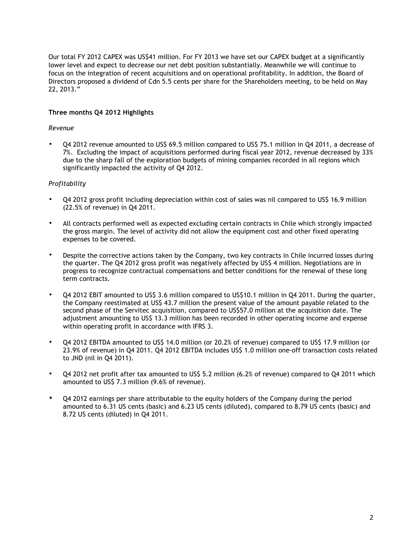Our total FY 2012 CAPEX was US\$41 million. For FY 2013 we have set our CAPEX budget at a significantly lower level and expect to decrease our net debt position substantially. Meanwhile we will continue to focus on the integration of recent acquisitions and on operational profitability. In addition, the Board of Directors proposed a dividend of Cdn 5.5 cents per share for the Shareholders meeting, to be held on May 22, 2013."

## **Three months Q4 2012 Highlights**

#### *Revenue*

• Q4 2012 revenue amounted to US\$ 69.5 million compared to US\$ 75.1 million in Q4 2011, a decrease of 7%. Excluding the impact of acquisitions performed during fiscal year 2012, revenue decreased by 33% due to the sharp fall of the exploration budgets of mining companies recorded in all regions which significantly impacted the activity of Q4 2012.

## *Profitability*

- Q4 2012 gross profit including depreciation within cost of sales was nil compared to US\$ 16.9 million (22.5% of revenue) in Q4 2011.
- All contracts performed well as expected excluding certain contracts in Chile which strongly impacted the gross margin. The level of activity did not allow the equipment cost and other fixed operating expenses to be covered.
- Despite the corrective actions taken by the Company, two key contracts in Chile incurred losses during the quarter. The Q4 2012 gross profit was negatively affected by US\$ 4 million. Negotiations are in progress to recognize contractual compensations and better conditions for the renewal of these long term contracts.
- Q4 2012 EBIT amounted to US\$ 3.6 million compared to US\$10.1 million in Q4 2011. During the quarter, the Company reestimated at US\$ 43.7 million the present value of the amount payable related to the second phase of the Servitec acquisition, compared to US\$57.0 million at the acquisition date. The adjustment amounting to US\$ 13.3 million has been recorded in other operating income and expense within operating profit in accordance with IFRS 3.
- Q4 2012 EBITDA amounted to US\$ 14.0 million (or 20.2% of revenue) compared to US\$ 17.9 million (or 23.9% of revenue) in Q4 2011. Q4 2012 EBITDA includes US\$ 1.0 million one-off transaction costs related to JND (nil in Q4 2011).
- Q4 2012 net profit after tax amounted to US\$ 5.2 million (6.2% of revenue) compared to Q4 2011 which amounted to US\$ 7.3 million (9.6% of revenue).
- Q4 2012 earnings per share attributable to the equity holders of the Company during the period amounted to 6.31 US cents (basic) and 6.23 US cents (diluted), compared to 8.79 US cents (basic) and 8.72 US cents (diluted) in Q4 2011.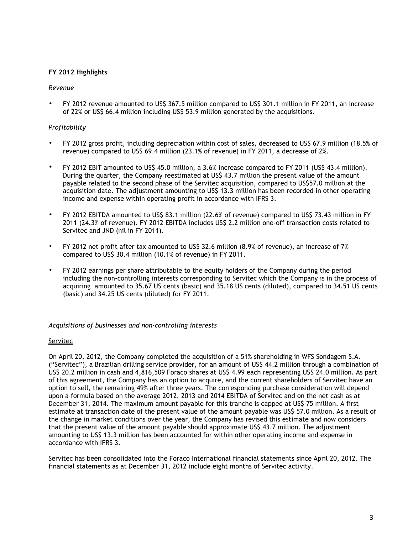## **FY 2012 Highlights**

## *Revenue*

• FY 2012 revenue amounted to US\$ 367.5 million compared to US\$ 301.1 million in FY 2011, an increase of 22% or US\$ 66.4 million including US\$ 53.9 million generated by the acquisitions.

## *Profitability*

- FY 2012 gross profit, including depreciation within cost of sales, decreased to US\$ 67.9 million (18.5% of revenue) compared to US\$ 69.4 million (23.1% of revenue) in FY 2011, a decrease of 2%.
- FY 2012 EBIT amounted to US\$ 45.0 million, a 3.6% increase compared to FY 2011 (US\$ 43.4 million). During the quarter, the Company reestimated at US\$ 43.7 million the present value of the amount payable related to the second phase of the Servitec acquisition, compared to US\$57.0 million at the acquisition date. The adjustment amounting to US\$ 13.3 million has been recorded in other operating income and expense within operating profit in accordance with IFRS 3.
- FY 2012 EBITDA amounted to US\$ 83.1 million (22.6% of revenue) compared to US\$ 73.43 million in FY 2011 (24.3% of revenue). FY 2012 EBITDA includes US\$ 2.2 million one-off transaction costs related to Servitec and JND (nil in FY 2011).
- FY 2012 net profit after tax amounted to US\$ 32.6 million (8.9% of revenue), an increase of 7% compared to US\$ 30.4 million (10.1% of revenue) in FY 2011.
- FY 2012 earnings per share attributable to the equity holders of the Company during the period including the non-controlling interests corresponding to Servitec which the Company is in the process of acquiring amounted to 35.67 US cents (basic) and 35.18 US cents (diluted), compared to 34.51 US cents (basic) and 34.25 US cents (diluted) for FY 2011.

#### *Acquisitions of businesses and non-controlling interests*

## **Servitec**

On April 20, 2012, the Company completed the acquisition of a 51% shareholding in WFS Sondagem S.A. ("Servitec"), a Brazilian drilling service provider, for an amount of US\$ 44.2 million through a combination of US\$ 20.2 million in cash and 4,816,509 Foraco shares at US\$ 4.99 each representing US\$ 24.0 million. As part of this agreement, the Company has an option to acquire, and the current shareholders of Servitec have an option to sell, the remaining 49% after three years. The corresponding purchase consideration will depend upon a formula based on the average 2012, 2013 and 2014 EBITDA of Servitec and on the net cash as at December 31, 2014. The maximum amount payable for this tranche is capped at US\$ 75 million. A first estimate at transaction date of the present value of the amount payable was US\$ 57.0 million. As a result of the change in market conditions over the year, the Company has revised this estimate and now considers that the present value of the amount payable should approximate US\$ 43.7 million. The adjustment amounting to US\$ 13.3 million has been accounted for within other operating income and expense in accordance with IFRS 3.

Servitec has been consolidated into the Foraco International financial statements since April 20, 2012. The financial statements as at December 31, 2012 include eight months of Servitec activity.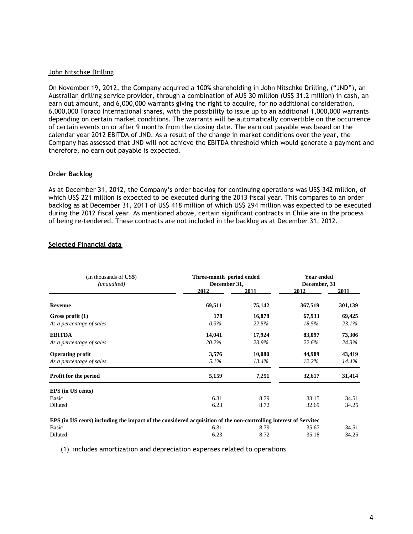#### John Nitschke Drilling

On November 19, 2012, the Company acquired a 100% shareholding in John Nitschke Drilling, ("JND"), an Australian drilling service provider, through a combination of AU\$ 30 million (US\$ 31.2 million) in cash, an earn out amount, and 6,000,000 warrants giving the right to acquire, for no additional consideration, 6,000,000 Foraco International shares, with the possibility to issue up to an additional 1,000,000 warrants depending on certain market conditions. The warrants will be automatically convertible on the occurrence of certain events on or after 9 months from the closing date. The earn out payable was based on the calendar year 2012 EBITDA of JND. As a result of the change in market conditions over the year, the Company has assessed that JND will not achieve the EBITDA threshold which would generate a payment and therefore, no earn out payable is expected.

#### **Order Backlog**

As at December 31, 2012, the Company's order backlog for continuing operations was US\$ 342 million, of which US\$ 221 million is expected to be executed during the 2013 fiscal year. This compares to an order backlog as at December 31, 2011 of US\$ 418 million of which US\$ 294 million was expected to be executed during the 2012 fiscal year. As mentioned above, certain significant contracts in Chile are in the process of being re-tendered. These contracts are not included in the backlog as at December 31, 2012.

## **Selected Financial data**

| (In thousands of US\$)<br>(unaudited)                                                                            |        | Three-month period ended<br>December 31, |         |         |
|------------------------------------------------------------------------------------------------------------------|--------|------------------------------------------|---------|---------|
|                                                                                                                  | 2012   | 2011                                     | 2012    | 2011    |
| <b>Revenue</b>                                                                                                   | 69,511 | 75,142                                   | 367,519 | 301,139 |
| Gross profit $(1)$                                                                                               | 178    | 16,878                                   | 67,933  | 69,425  |
| As a percentage of sales                                                                                         | 0.3%   | 22.5%                                    | 18.5%   | 23.1%   |
| <b>EBITDA</b>                                                                                                    | 14,041 | 17,924                                   | 83,097  | 73,306  |
| As a percentage of sales                                                                                         | 20.2%  | 23.9%                                    | 22.6%   | 24.3%   |
| <b>Operating profit</b>                                                                                          | 3,576  | 10,080                                   | 44,989  | 43,419  |
| As a percentage of sales                                                                                         | 5.1%   | 13.4%                                    | 12.2%   | 14.4%   |
| <b>Profit for the period</b>                                                                                     | 5,159  | 7,251                                    | 32,617  | 31,414  |
| <b>EPS</b> (in US cents)                                                                                         |        |                                          |         |         |
| Basic                                                                                                            | 6.31   | 8.79                                     | 33.15   | 34.51   |
| Diluted                                                                                                          | 6.23   | 8.72                                     | 32.69   | 34.25   |
| EPS (in US cents) including the impact of the considered acquisition of the non-controlling interest of Servitec |        |                                          |         |         |
| Basic                                                                                                            | 6.31   | 8.79                                     | 35.67   | 34.51   |
| Diluted                                                                                                          | 6.23   | 8.72                                     | 35.18   | 34.25   |

(1) includes amortization and depreciation expenses related to operations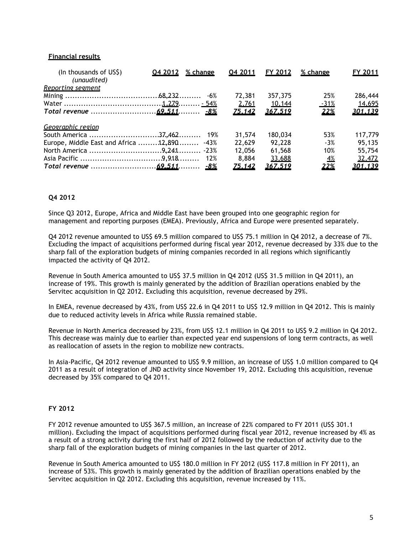## **Financial results**

| (In thousands of US\$)<br>(unaudited)      | 04 2012<br>% change | 04 2011       | FY 2012 | % change    | FY 2011 |
|--------------------------------------------|---------------------|---------------|---------|-------------|---------|
| Reporting segment                          |                     |               |         |             |         |
|                                            |                     | 72,381        | 357,375 | 25%         | 286,444 |
|                                            |                     | 2,761         | 10,144  | $-31%$      | 14,695  |
|                                            |                     | <u>75.142</u> | 367.519 | 22%         | 301.139 |
| Geographic region                          |                     |               |         |             |         |
| South America 37,462 19%                   |                     | 31,574        | 180,034 | 53%         | 117,779 |
| Europe, Middle East and Africa 12,890 -43% |                     | 22,629        | 92,228  | $-3%$       | 95,135  |
|                                            |                     | 12,056        | 61,568  | 10%         | 55,754  |
|                                            |                     | 8,884         | 33,688  | <u>4%</u>   | 32,472  |
|                                            |                     | <u>75.142</u> | 367.519 | <u> 22%</u> | 301.139 |

## **Q4 2012**

Since Q3 2012, Europe, Africa and Middle East have been grouped into one geographic region for management and reporting purposes (EMEA). Previously, Africa and Europe were presented separately.

Q4 2012 revenue amounted to US\$ 69.5 million compared to US\$ 75.1 million in Q4 2012, a decrease of 7%. Excluding the impact of acquisitions performed during fiscal year 2012, revenue decreased by 33% due to the sharp fall of the exploration budgets of mining companies recorded in all regions which significantly impacted the activity of Q4 2012.

Revenue in South America amounted to US\$ 37.5 million in Q4 2012 (US\$ 31.5 million in Q4 2011), an increase of 19%. This growth is mainly generated by the addition of Brazilian operations enabled by the Servitec acquisition in Q2 2012. Excluding this acquisition, revenue decreased by 29%.

In EMEA, revenue decreased by 43%, from US\$ 22.6 in Q4 2011 to US\$ 12.9 million in Q4 2012. This is mainly due to reduced activity levels in Africa while Russia remained stable.

Revenue in North America decreased by 23%, from US\$ 12.1 million in Q4 2011 to US\$ 9.2 million in Q4 2012. This decrease was mainly due to earlier than expected year end suspensions of long term contracts, as well as reallocation of assets in the region to mobilize new contracts.

In Asia-Pacific, Q4 2012 revenue amounted to US\$ 9.9 million, an increase of US\$ 1.0 million compared to Q4 2011 as a result of integration of JND activity since November 19, 2012. Excluding this acquisition, revenue decreased by 35% compared to Q4 2011.

#### **FY 2012**

FY 2012 revenue amounted to US\$ 367.5 million, an increase of 22% compared to FY 2011 (US\$ 301.1 million). Excluding the impact of acquisitions performed during fiscal year 2012, revenue increased by 4% as a result of a strong activity during the first half of 2012 followed by the reduction of activity due to the sharp fall of the exploration budgets of mining companies in the last quarter of 2012.

Revenue in South America amounted to US\$ 180.0 million in FY 2012 (US\$ 117.8 million in FY 2011), an increase of 53%. This growth is mainly generated by the addition of Brazilian operations enabled by the Servitec acquisition in Q2 2012. Excluding this acquisition, revenue increased by 11%.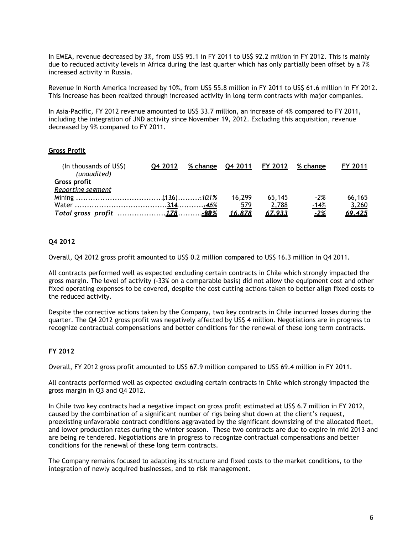In EMEA, revenue decreased by 3%, from US\$ 95.1 in FY 2011 to US\$ 92.2 million in FY 2012. This is mainly due to reduced activity levels in Africa during the last quarter which has only partially been offset by a 7% increased activity in Russia.

Revenue in North America increased by 10%, from US\$ 55.8 million in FY 2011 to US\$ 61.6 million in FY 2012. This increase has been realized through increased activity in long term contracts with major companies.

In Asia-Pacific, FY 2012 revenue amounted to US\$ 33.7 million, an increase of 4% compared to FY 2011, including the integration of JND activity since November 19, 2012. Excluding this acquisition, revenue decreased by 9% compared to FY 2011.

## **Gross Profit**

| (In thousands of US\$)<br>(unaudited) | 04 2012 | % change | <u>Q4 2011</u> | <b>FY 2012</b> | % change    | FY 2011 |
|---------------------------------------|---------|----------|----------------|----------------|-------------|---------|
| Gross profit                          |         |          |                |                |             |         |
| Reporting segment                     |         |          |                |                |             |         |
|                                       |         |          | 16.299         | 65.145         | $-2\%$      | 66,165  |
|                                       |         |          | 579            | 2,788          | <u>-14%</u> | 3,260   |
|                                       |         |          | 16.878         | 67.933         | $-2\%$      | 69.425  |

## **Q4 2012**

Overall, Q4 2012 gross profit amounted to US\$ 0.2 million compared to US\$ 16.3 million in Q4 2011.

All contracts performed well as expected excluding certain contracts in Chile which strongly impacted the gross margin. The level of activity (-33% on a comparable basis) did not allow the equipment cost and other fixed operating expenses to be covered, despite the cost cutting actions taken to better align fixed costs to the reduced activity.

Despite the corrective actions taken by the Company, two key contracts in Chile incurred losses during the quarter. The Q4 2012 gross profit was negatively affected by US\$ 4 million. Negotiations are in progress to recognize contractual compensations and better conditions for the renewal of these long term contracts.

## **FY 2012**

Overall, FY 2012 gross profit amounted to US\$ 67.9 million compared to US\$ 69.4 million in FY 2011.

All contracts performed well as expected excluding certain contracts in Chile which strongly impacted the gross margin in Q3 and Q4 2012.

In Chile two key contracts had a negative impact on gross profit estimated at US\$ 6.7 million in FY 2012, caused by the combination of a significant number of rigs being shut down at the client's request, preexisting unfavorable contract conditions aggravated by the significant downsizing of the allocated fleet, and lower production rates during the winter season. These two contracts are due to expire in mid 2013 and are being re tendered. Negotiations are in progress to recognize contractual compensations and better conditions for the renewal of these long term contracts.

The Company remains focused to adapting its structure and fixed costs to the market conditions, to the integration of newly acquired businesses, and to risk management.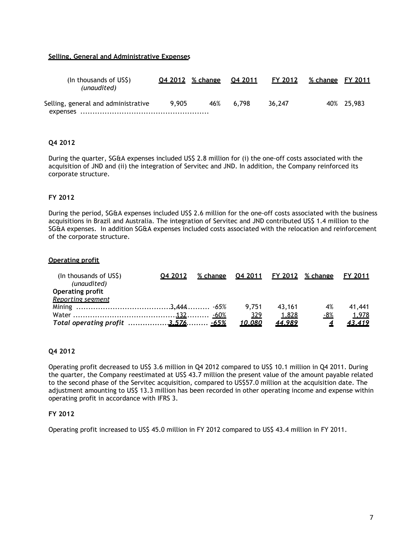## **Selling, General and Administrative Expenses**

| (In thousands of US\$)<br>(unaudited) |       | 04 2012 % change | 04 2011 | FY 2012 | <u>% change FY 2011</u> |            |
|---------------------------------------|-------|------------------|---------|---------|-------------------------|------------|
| Selling, general and administrative   | 9.905 | 46%              | 6.798   | 36.247  |                         | 40% 25,983 |

## **Q4 2012**

During the quarter, SG&A expenses included US\$ 2.8 million for (i) the one-off costs associated with the acquisition of JND and (ii) the integration of Servitec and JND. In addition, the Company reinforced its corporate structure.

#### **FY 2012**

During the period, SG&A expenses included US\$ 2.6 million for the one-off costs associated with the business acquisitions in Brazil and Australia. The integration of Servitec and JND contributed US\$ 1.4 million to the SG&A expenses. In addition SG&A expenses included costs associated with the relocation and reinforcement of the corporate structure.

#### **Operating profit**

| (In thousands of US\$)<br>(unaudited) | 04 2012 | % change | <b>Q4 2011</b> | FY 2012 | % change   | FY 2011 |
|---------------------------------------|---------|----------|----------------|---------|------------|---------|
| <b>Operating profit</b>               |         |          |                |         |            |         |
| Reporting segment                     |         |          |                |         |            |         |
|                                       |         |          | 9.751          | 43.161  | 4%         | 41,441  |
|                                       |         |          | <u>329</u>     | 1.828   | <u>-8%</u> | 1.978   |
| Total operating profit 3.576 -65%     |         |          | 10.080         | 44.989  |            | 43.419  |

#### **Q4 2012**

Operating profit decreased to US\$ 3.6 million in Q4 2012 compared to US\$ 10.1 million in Q4 2011. During the quarter, the Company reestimated at US\$ 43.7 million the present value of the amount payable related to the second phase of the Servitec acquisition, compared to US\$57.0 million at the acquisition date. The adjustment amounting to US\$ 13.3 million has been recorded in other operating income and expense within operating profit in accordance with IFRS 3.

#### **FY 2012**

Operating profit increased to US\$ 45.0 million in FY 2012 compared to US\$ 43.4 million in FY 2011.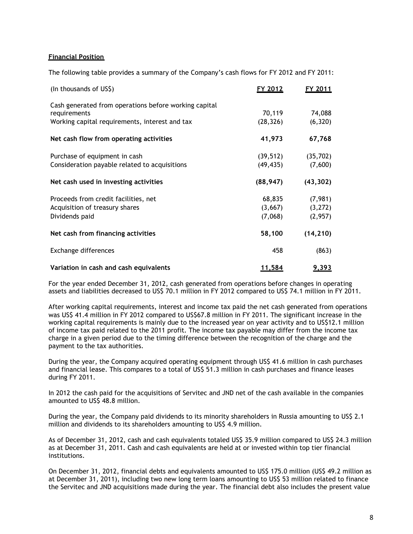## **Financial Position**

The following table provides a summary of the Company's cash flows for FY 2012 and FY 2011:

| (In thousands of US\$)                                | FY 2012   | <u>FY 2011</u> |
|-------------------------------------------------------|-----------|----------------|
| Cash generated from operations before working capital |           |                |
| requirements                                          | 70,119    | 74,088         |
| Working capital requirements, interest and tax        | (28, 326) | (6, 320)       |
| Net cash flow from operating activities               | 41,973    | 67,768         |
| Purchase of equipment in cash                         | (39, 512) | (35, 702)      |
| Consideration payable related to acquisitions         | (49, 435) | (7,600)        |
| Net cash used in investing activities                 | (88, 947) | (43, 302)      |
| Proceeds from credit facilities, net                  | 68,835    | (7,981)        |
| Acquisition of treasury shares                        | (3,667)   | (3,272)        |
| Dividends paid                                        | (7,068)   | (2,957)        |
| Net cash from financing activities                    | 58,100    | (14, 210)      |
| Exchange differences                                  | 458       | (863)          |
| Variation in cash and cash equivalents                | 11,584    | 9.393          |

For the year ended December 31, 2012, cash generated from operations before changes in operating assets and liabilities decreased to US\$ 70.1 million in FY 2012 compared to US\$ 74.1 million in FY 2011.

After working capital requirements, interest and income tax paid the net cash generated from operations was US\$ 41.4 million in FY 2012 compared to US\$67.8 million in FY 2011. The significant increase in the working capital requirements is mainly due to the increased year on year activity and to US\$12.1 million of income tax paid related to the 2011 profit. The income tax payable may differ from the income tax charge in a given period due to the timing difference between the recognition of the charge and the payment to the tax authorities.

During the year, the Company acquired operating equipment through US\$ 41.6 million in cash purchases and financial lease. This compares to a total of US\$ 51.3 million in cash purchases and finance leases during FY 2011.

In 2012 the cash paid for the acquisitions of Servitec and JND net of the cash available in the companies amounted to US\$ 48.8 million.

During the year, the Company paid dividends to its minority shareholders in Russia amounting to US\$ 2.1 million and dividends to its shareholders amounting to US\$ 4.9 million.

As of December 31, 2012, cash and cash equivalents totaled US\$ 35.9 million compared to US\$ 24.3 million as at December 31, 2011. Cash and cash equivalents are held at or invested within top tier financial institutions.

On December 31, 2012, financial debts and equivalents amounted to US\$ 175.0 million (US\$ 49.2 million as at December 31, 2011), including two new long term loans amounting to US\$ 53 million related to finance the Servitec and JND acquisitions made during the year. The financial debt also includes the present value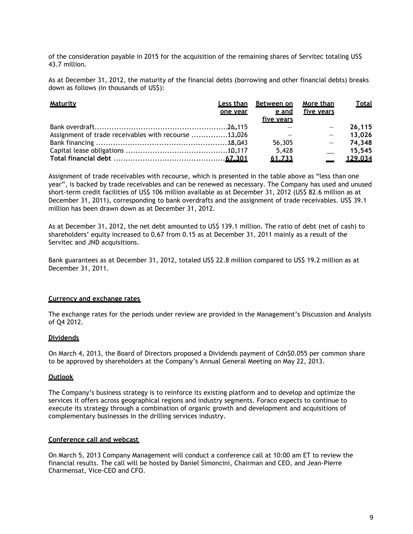of the consideration payable in 2015 for the acquisition of the remaining shares of Servitec totaling US\$ 43.7 million.

As at December 31, 2012, the maturity of the financial debts (borrowing and other financial debts) breaks down as follows (in thousands of US\$):

| <b>Maturity</b>                                      | Less than<br>one year | Between on<br>e and<br>five years | More than<br>five years | <b>Total</b> |
|------------------------------------------------------|-----------------------|-----------------------------------|-------------------------|--------------|
|                                                      |                       |                                   |                         | 26,115       |
| Assignment of trade receivables with recourse 13,026 |                       |                                   |                         | 13,026       |
|                                                      |                       | 56,305                            | $\sim$ $-$              | 74,348       |
|                                                      |                       | 5,428                             |                         | 15,545       |
|                                                      |                       | 61.733                            |                         | 129.034      |

Assignment of trade receivables with recourse, which is presented in the table above as "less than one year", is backed by trade receivables and can be renewed as necessary. The Company has used and unused short-term credit facilities of US\$ 106 million available as at December 31, 2012 (US\$ 82.6 million as at December 31, 2011), corresponding to bank overdrafts and the assignment of trade receivables. US\$ 39.1 million has been drawn down as at December 31, 2012.

As at December 31, 2012, the net debt amounted to US\$ 139.1 million. The ratio of debt (net of cash) to shareholders' equity increased to 0.67 from 0.15 as at December 31, 2011 mainly as a result of the Servitec and JND acquisitions.

Bank guarantees as at December 31, 2012, totaled US\$ 22.8 million compared to US\$ 19.2 million as at December 31, 2011.

#### **Currency and exchange rates**

The exchange rates for the periods under review are provided in the Management's Discussion and Analysis of Q4 2012.

#### **Dividends**

On March 4, 2013, the Board of Directors proposed a Dividends payment of Cdn\$0.055 per common share to be approved by shareholders at the Company's Annual General Meeting on May 22, 2013.

#### **Outlook**

The Company's business strategy is to reinforce its existing platform and to develop and optimize the services it offers across geographical regions and industry segments. Foraco expects to continue to execute its strategy through a combination of organic growth and development and acquisitions of complementary businesses in the drilling services industry.

#### **Conference call and webcast**

On March 5, 2013 Company Management will conduct a conference call at 10:00 am ET to review the financial results. The call will be hosted by Daniel Simoncini, Chairman and CEO, and Jean-Pierre Charmensat, Vice-CEO and CFO.